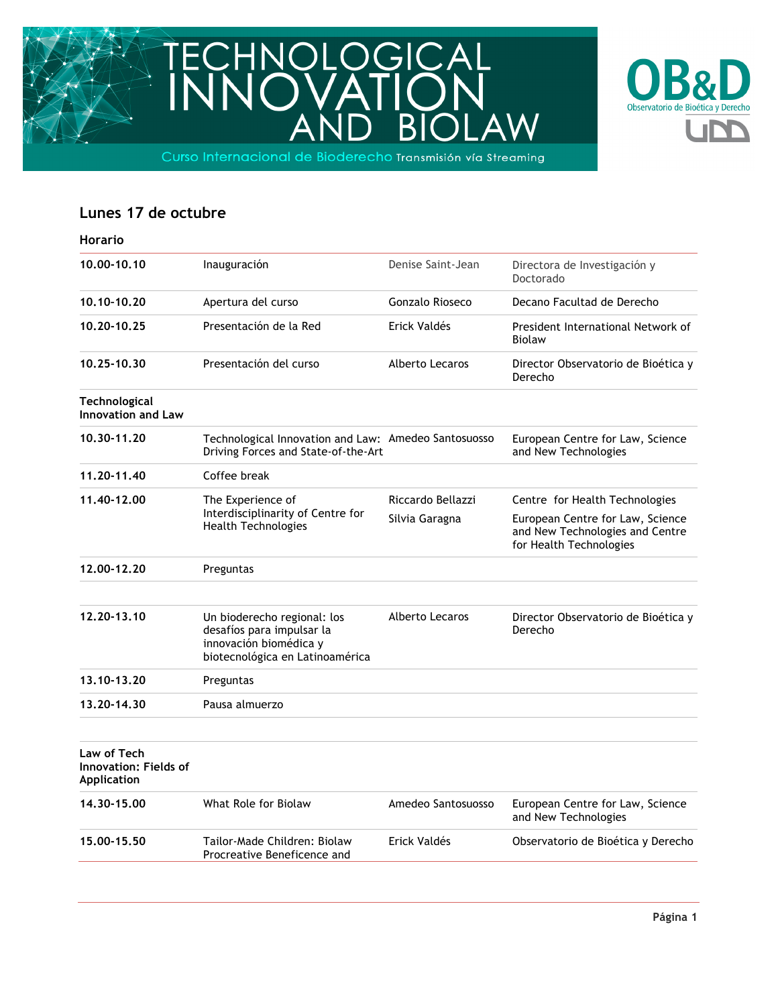



Curso Internacional de Bioderecho Transmisión vía Streaming

## **Lunes 17 de octubre**

| Horario                                                    |                                                                                                                       |                    |                                                                                                |
|------------------------------------------------------------|-----------------------------------------------------------------------------------------------------------------------|--------------------|------------------------------------------------------------------------------------------------|
| 10.00-10.10                                                | Inauguración                                                                                                          | Denise Saint-Jean  | Directora de Investigación y<br>Doctorado                                                      |
| 10.10-10.20                                                | Apertura del curso                                                                                                    | Gonzalo Rioseco    | Decano Facultad de Derecho                                                                     |
| 10.20-10.25                                                | Presentación de la Red                                                                                                | Erick Valdés       | President International Network of<br><b>Biolaw</b>                                            |
| 10.25-10.30                                                | Presentación del curso                                                                                                | Alberto Lecaros    | Director Observatorio de Bioética y<br>Derecho                                                 |
| Technological<br><b>Innovation and Law</b>                 |                                                                                                                       |                    |                                                                                                |
| 10.30-11.20                                                | Technological Innovation and Law: Amedeo Santosuosso<br>Driving Forces and State-of-the-Art                           |                    | European Centre for Law, Science<br>and New Technologies                                       |
| 11.20-11.40                                                | Coffee break                                                                                                          |                    |                                                                                                |
| 11,40-12,00                                                | The Experience of<br>Interdisciplinarity of Centre for<br><b>Health Technologies</b>                                  | Riccardo Bellazzi  | Centre for Health Technologies                                                                 |
|                                                            |                                                                                                                       | Silvia Garagna     | European Centre for Law, Science<br>and New Technologies and Centre<br>for Health Technologies |
| 12.00-12.20                                                | Preguntas                                                                                                             |                    |                                                                                                |
| 12.20-13.10                                                | Un bioderecho regional: los<br>desafíos para impulsar la<br>innovación biomédica y<br>biotecnológica en Latinoamérica | Alberto Lecaros    | Director Observatorio de Bioética y<br>Derecho                                                 |
| 13.10-13.20                                                | Preguntas                                                                                                             |                    |                                                                                                |
| 13.20-14.30                                                | Pausa almuerzo                                                                                                        |                    |                                                                                                |
| Law of Tech<br>Innovation: Fields of<br><b>Application</b> |                                                                                                                       |                    |                                                                                                |
| 14.30-15.00                                                | What Role for Biolaw                                                                                                  | Amedeo Santosuosso | European Centre for Law, Science<br>and New Technologies                                       |
| 15,00-15,50                                                | Tailor-Made Children: Biolaw<br>Procreative Beneficence and                                                           | Erick Valdés       | Observatorio de Bioética y Derecho                                                             |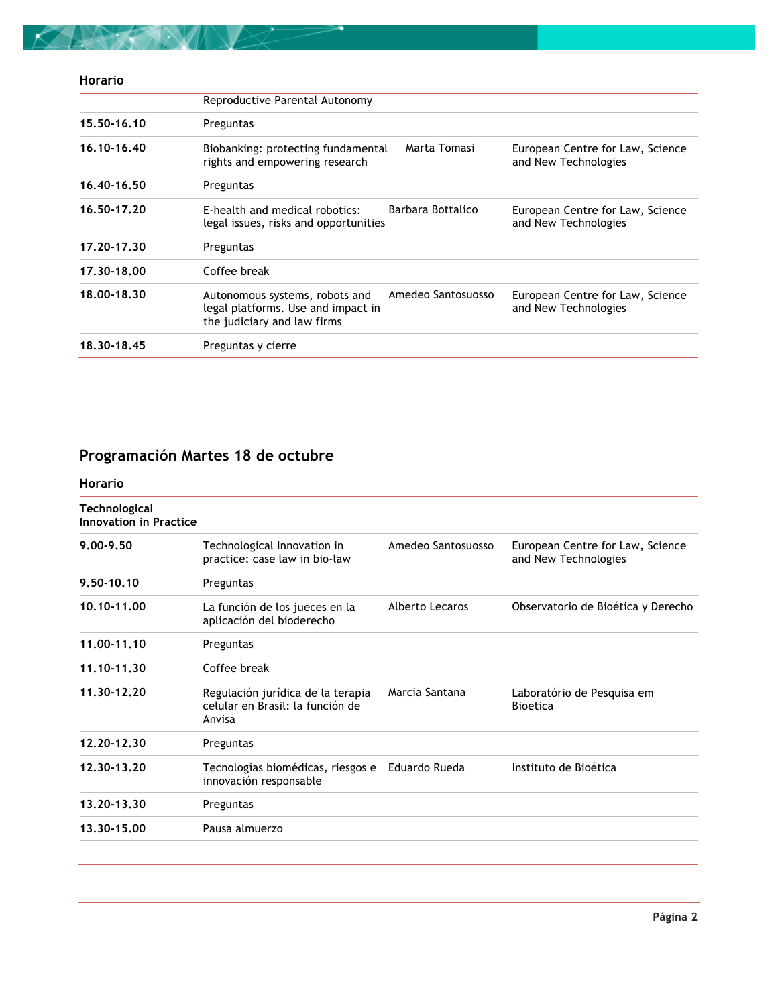| <b>Horario</b> |                                                                                                                           |                                                          |
|----------------|---------------------------------------------------------------------------------------------------------------------------|----------------------------------------------------------|
|                | Reproductive Parental Autonomy                                                                                            |                                                          |
| 15.50-16.10    | Preguntas                                                                                                                 |                                                          |
| 16.10-16.40    | Marta Tomasi<br>Biobanking: protecting fundamental<br>rights and empowering research                                      | European Centre for Law, Science<br>and New Technologies |
| 16.40-16.50    | Preguntas                                                                                                                 |                                                          |
| 16.50-17.20    | E-health and medical robotics:<br>Barbara Bottalico<br>legal issues, risks and opportunities                              | European Centre for Law, Science<br>and New Technologies |
| 17.20-17.30    | Preguntas                                                                                                                 |                                                          |
| 17.30-18.00    | Coffee break                                                                                                              |                                                          |
| 18.00-18.30    | Amedeo Santosuosso<br>Autonomous systems, robots and<br>legal platforms. Use and impact in<br>the judiciary and law firms | European Centre for Law, Science<br>and New Technologies |
| 18.30-18.45    | Preguntas y cierre                                                                                                        |                                                          |
|                |                                                                                                                           |                                                          |

÷

## **Programación Martes 18 de octubre**

## **Horario**

KAR WILL

| <b>Technological</b><br><b>Innovation in Practice</b> |                                                                                 |                    |                                                          |
|-------------------------------------------------------|---------------------------------------------------------------------------------|--------------------|----------------------------------------------------------|
| $9.00 - 9.50$                                         | Technological Innovation in<br>practice: case law in bio-law                    | Amedeo Santosuosso | European Centre for Law, Science<br>and New Technologies |
| 9.50-10.10                                            | Preguntas                                                                       |                    |                                                          |
| 10.10-11.00                                           | La función de los jueces en la<br>aplicación del bioderecho                     | Alberto Lecaros    | Observatorio de Bioética y Derecho                       |
| 11.00-11.10                                           | Preguntas                                                                       |                    |                                                          |
| 11.10-11.30                                           | Coffee break                                                                    |                    |                                                          |
| 11.30-12.20                                           | Regulación jurídica de la terapia<br>celular en Brasil: la función de<br>Anvisa | Marcia Santana     | Laboratório de Pesquisa em<br><b>Bioetica</b>            |
| 12.20-12.30                                           | Preguntas                                                                       |                    |                                                          |
| 12.30-13.20                                           | Tecnologías biomédicas, riesgos e<br>innovación responsable                     | Eduardo Rueda      | Instituto de Bioética                                    |
| 13.20-13.30                                           | Preguntas                                                                       |                    |                                                          |
| 13.30-15.00                                           | Pausa almuerzo                                                                  |                    |                                                          |